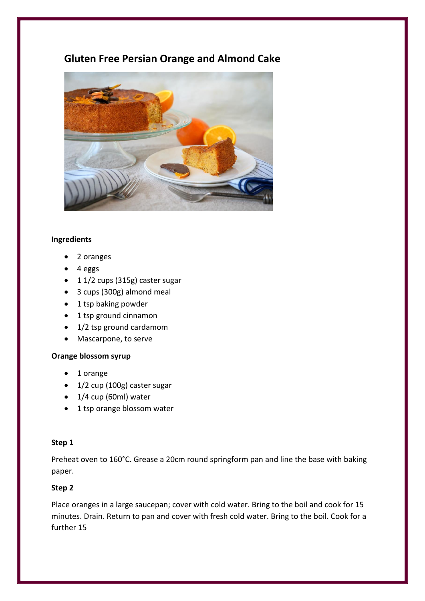# **Gluten Free Persian Orange and Almond Cake**



## **Ingredients**

- 2 oranges
- 4 eggs
- 1 1/2 cups (315g) caster sugar
- 3 cups (300g) almond meal
- 1 tsp baking powder
- 1 tsp ground cinnamon
- 1/2 tsp ground cardamom
- Mascarpone, to serve

# **Orange blossom syrup**

- 1 orange
- 1/2 cup (100g) caster sugar
- $\bullet$  1/4 cup (60ml) water
- 1 tsp orange blossom water

## **Step 1**

Preheat oven to 160°C. Grease a 20cm round springform pan and line the base with baking paper.

# **Step 2**

Place oranges in a large saucepan; cover with cold water. Bring to the boil and cook for 15 minutes. Drain. Return to pan and cover with fresh cold water. Bring to the boil. Cook for a further 15